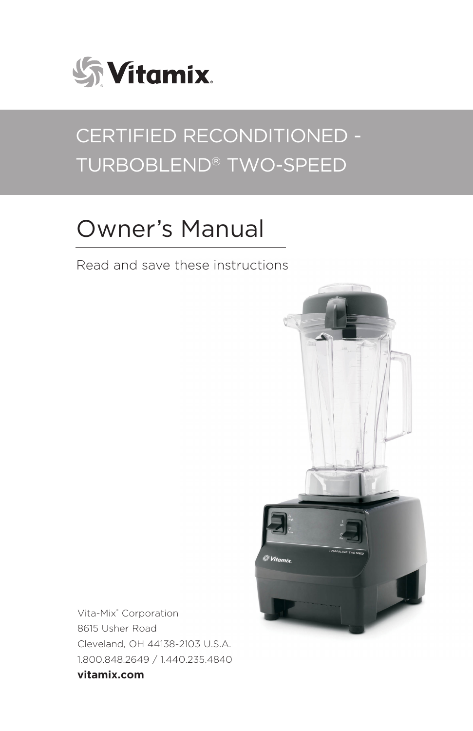

# CERTIFIED RECONDITIONED - TURBOBLEND® TWO-SPEED

# Owner's Manual

Read and save these instructions



Vita-Mix® Corporation 8615 Usher Road Cleveland, OH 44138-2103 U.S.A. 1.800.848.2649 / 1.440.235.4840 **vitamix.com**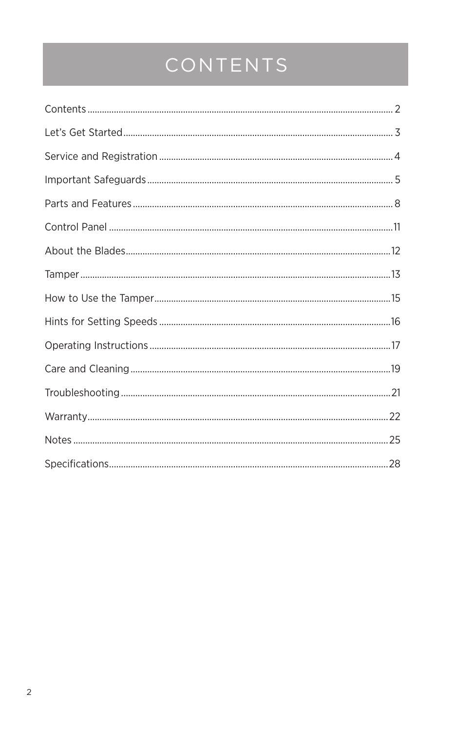# CONTENTS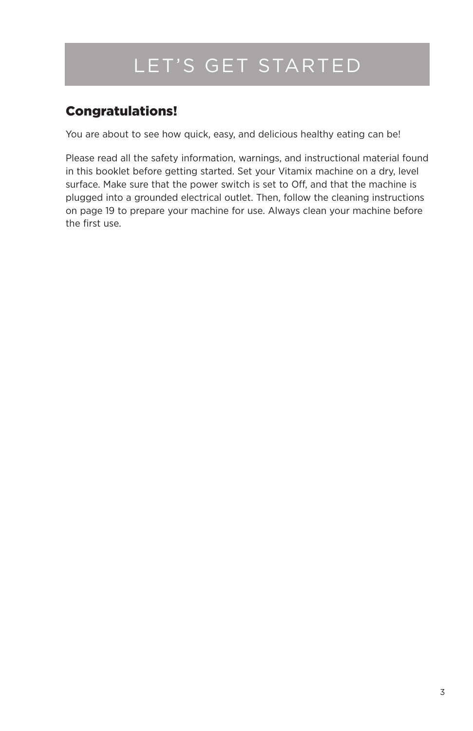## LET'S GET STARTED

## Congratulations!

You are about to see how quick, easy, and delicious healthy eating can be!

Please read all the safety information, warnings, and instructional material found in this booklet before getting started. Set your Vitamix machine on a dry, level surface. Make sure that the power switch is set to Off, and that the machine is plugged into a grounded electrical outlet. Then, follow the cleaning instructions on page 19 to prepare your machine for use. Always clean your machine before the first use.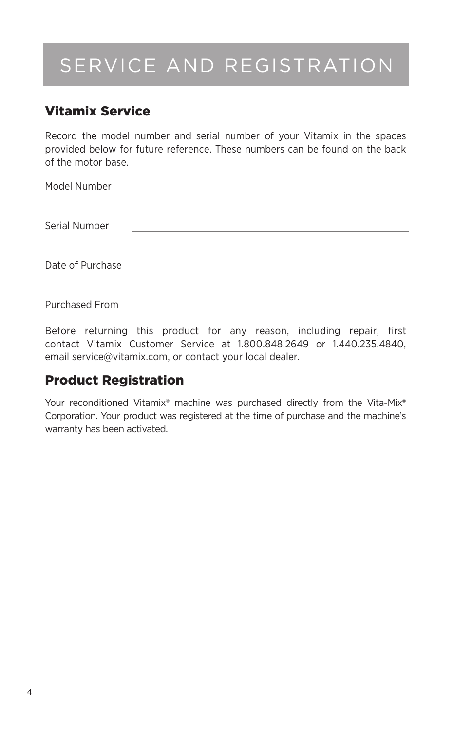# SERVICE AND REGISTRATION

### Vitamix Service

Record the model number and serial number of your Vitamix in the spaces provided below for future reference. These numbers can be found on the back of the motor base.

| Model Number     |  |
|------------------|--|
| Serial Number    |  |
| Date of Purchase |  |
| Purchased From   |  |

Before returning this product for any reason, including repair, first contact Vitamix Customer Service at 1.800.848.2649 or 1.440.235.4840, email service@vitamix.com, or contact your local dealer.

### Product Registration

Your reconditioned Vitamix® machine was purchased directly from the Vita-Mix® Corporation. Your product was registered at the time of purchase and the machine's warranty has been activated.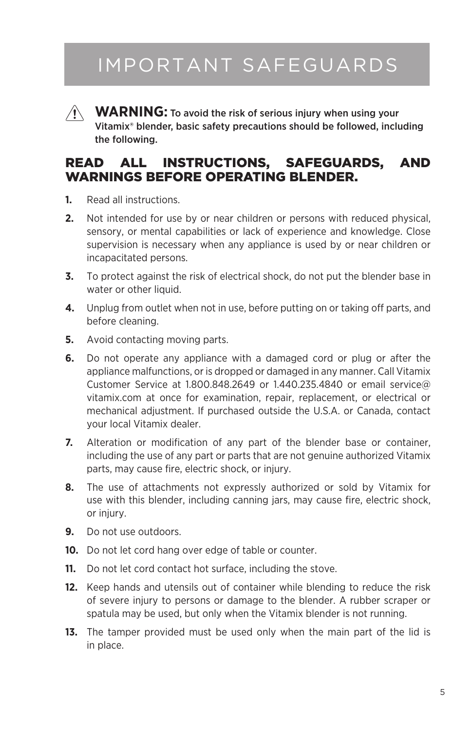## IMPORTANT SAFEGUARDS



**WARNING:** To avoid the risk of serious injury when using your Vitamix® blender, basic safety precautions should be followed, including the following.

### READ ALL INSTRUCTIONS, SAFEGUARDS, AND WARNINGS BEFORE OPERATING BLENDER.

- **1.** Read all instructions.
- **2.** Not intended for use by or near children or persons with reduced physical, sensory, or mental capabilities or lack of experience and knowledge. Close supervision is necessary when any appliance is used by or near children or incapacitated persons.
- **3.** To protect against the risk of electrical shock, do not put the blender base in water or other liquid.
- **4.** Unplug from outlet when not in use, before putting on or taking off parts, and before cleaning.
- **5.** Avoid contacting moving parts.
- **6.** Do not operate any appliance with a damaged cord or plug or after the appliance malfunctions, or is dropped or damaged in any manner. Call Vitamix Customer Service at 1.800.848.2649 or 1.440.235.4840 or email service@ vitamix.com at once for examination, repair, replacement, or electrical or mechanical adjustment. If purchased outside the U.S.A. or Canada, contact your local Vitamix dealer.
- **7.** Alteration or modification of any part of the blender base or container, including the use of any part or parts that are not genuine authorized Vitamix parts, may cause fire, electric shock, or injury.
- **8.** The use of attachments not expressly authorized or sold by Vitamix for use with this blender, including canning jars, may cause fire, electric shock, or injury.
- **9.** Do not use outdoors.
- **10.** Do not let cord hang over edge of table or counter.
- **11.** Do not let cord contact hot surface, including the stove.
- **12.** Keep hands and utensils out of container while blending to reduce the risk of severe injury to persons or damage to the blender. A rubber scraper or spatula may be used, but only when the Vitamix blender is not running.
- **13.** The tamper provided must be used only when the main part of the lid is in place.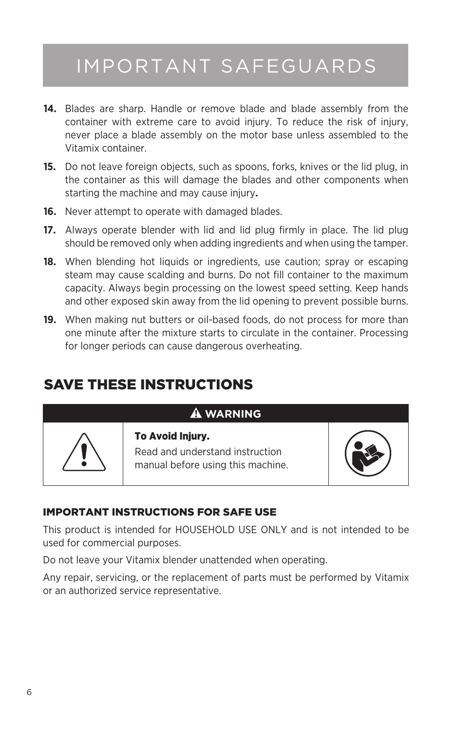## IMPORTANT SAFEGUARDS

- **14.** Blades are sharp. Handle or remove blade and blade assembly from the container with extreme care to avoid injury. To reduce the risk of injury, never place a blade assembly on the motor base unless assembled to the Vitamix container.
- **15.** Do not leave foreign objects, such as spoons, forks, knives or the lid plug, in the container as this will damage the blades and other components when starting the machine and may cause injury**.**
- **16.** Never attempt to operate with damaged blades.
- **17.** Always operate blender with lid and lid plug firmly in place. The lid plug should be removed only when adding ingredients and when using the tamper.
- **18.** When blending hot liquids or ingredients, use caution; spray or escaping steam may cause scalding and burns. Do not fill container to the maximum capacity. Always begin processing on the lowest speed setting. Keep hands and other exposed skin away from the lid opening to prevent possible burns.
- **19.** When making nut butters or oil-based foods, do not process for more than one minute after the mixture starts to circulate in the container. Processing for longer periods can cause dangerous overheating.

## SAVE THESE INSTRUCTIONS

#### **WARNING**



## Read and understand instruction



manual before using this machine.

#### IMPORTANT INSTRUCTIONS FOR SAFE USE

To Avoid Injury.

This product is intended for HOUSEHOLD USE ONLY and is not intended to be used for commercial purposes.

Do not leave your Vitamix blender unattended when operating.

Any repair, servicing, or the replacement of parts must be performed by Vitamix or an authorized service representative.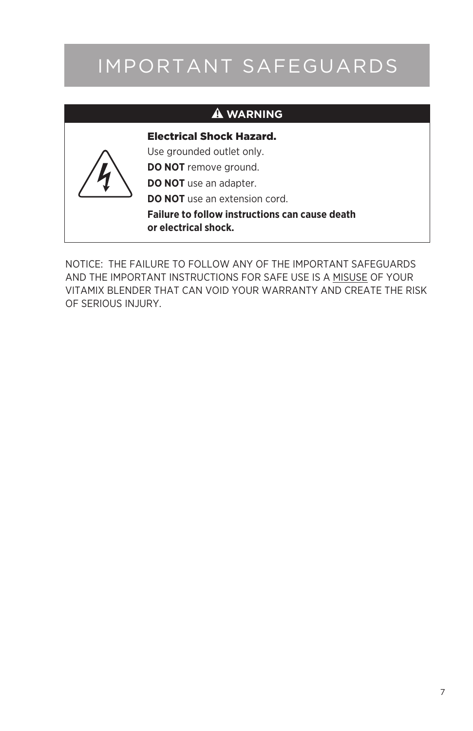# IMPORTANT SAFEGUARDS

#### **WARNING**



Electrical Shock Hazard.

Use grounded outlet only.

**DO NOT** remove ground.

**DO NOT** use an adapter.

**DO NOT** use an extension cord.

**Failure to follow instructions can cause death or electrical shock.** 

NOTICE: THE FAILURE TO FOLLOW ANY OF THE IMPORTANT SAFEGUARDS AND THE IMPORTANT INSTRUCTIONS FOR SAFE USE IS A MISUSE OF YOUR VITAMIX BLENDER THAT CAN VOID YOUR WARRANTY AND CREATE THE RISK OF SERIOUS INJURY.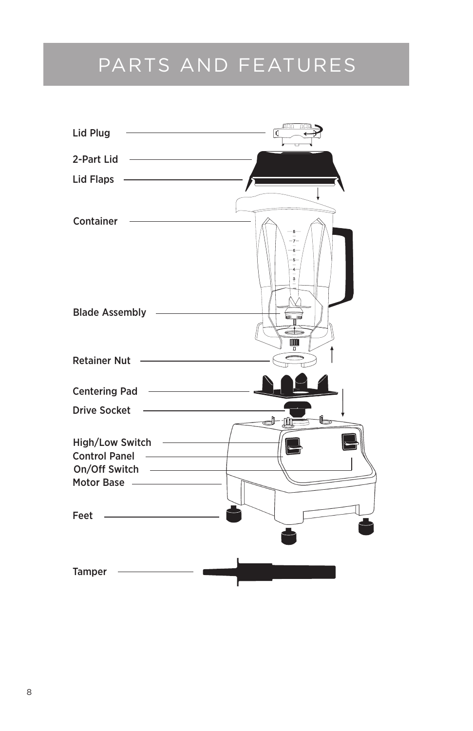## PARTS AND FEATURES



8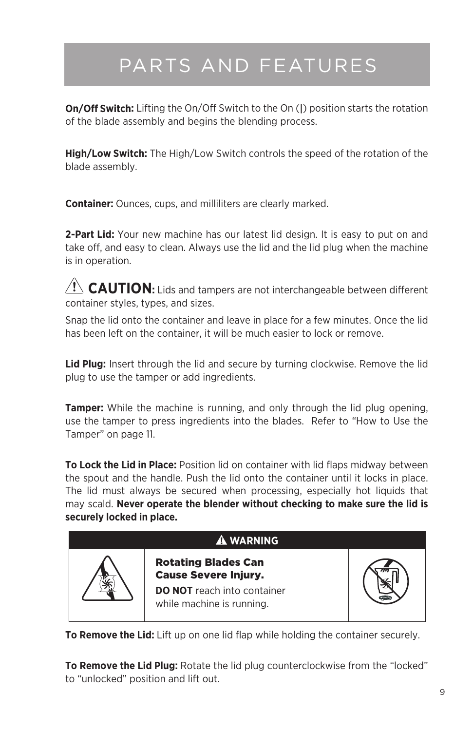# PARTS AND FEATURES

**On/Off Switch:** Lifting the On/Off Switch to the On (|) position starts the rotation of the blade assembly and begins the blending process.

**High/Low Switch:** The High/Low Switch controls the speed of the rotation of the blade assembly.

**Container:** Ounces, cups, and milliliters are clearly marked.

**2-Part Lid:** Your new machine has our latest lid design. It is easy to put on and take off, and easy to clean. Always use the lid and the lid plug when the machine is in operation.

 $\sqrt{N}$  **CAUTION:** Lids and tampers are not interchangeable between different container styles, types, and sizes.

Snap the lid onto the container and leave in place for a few minutes. Once the lid has been left on the container, it will be much easier to lock or remove.

**Lid Plug:** Insert through the lid and secure by turning clockwise. Remove the lid plug to use the tamper or add ingredients.

**Tamper:** While the machine is running, and only through the lid plug opening, use the tamper to press ingredients into the blades. Refer to "How to Use the Tamper" on page 11.

**To Lock the Lid in Place:** Position lid on container with lid flaps midway between the spout and the handle. Push the lid onto the container until it locks in place. The lid must always be secured when processing, especially hot liquids that may scald. **Never operate the blender without checking to make sure the lid is securely locked in place.**



**To Remove the Lid:** Lift up on one lid flap while holding the container securely.

**To Remove the Lid Plug:** Rotate the lid plug counterclockwise from the "locked" to "unlocked" position and lift out.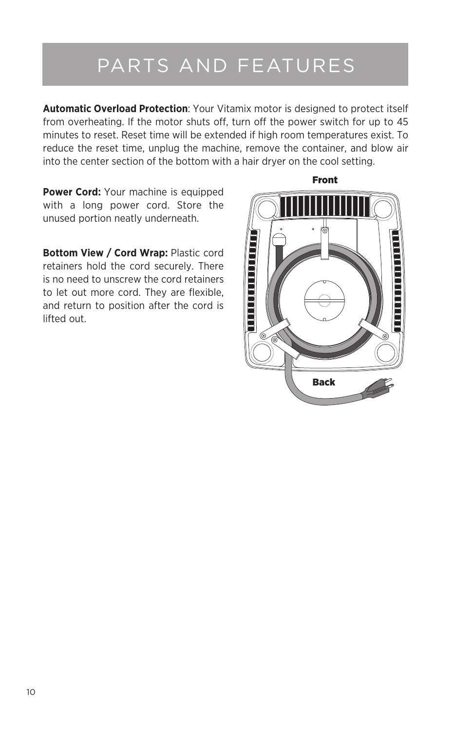# PARTS AND FEATURES

**Automatic Overload Protection**: Your Vitamix motor is designed to protect itself from overheating. If the motor shuts off, turn off the power switch for up to 45 minutes to reset. Reset time will be extended if high room temperatures exist. To reduce the reset time, unplug the machine, remove the container, and blow air into the center section of the bottom with a hair dryer on the cool setting.

**Power Cord:** Your machine is equipped with a long power cord. Store the unused portion neatly underneath.

**Bottom View / Cord Wrap: Plastic cord** retainers hold the cord securely. There is no need to unscrew the cord retainers to let out more cord. They are flexible, and return to position after the cord is lifted out.

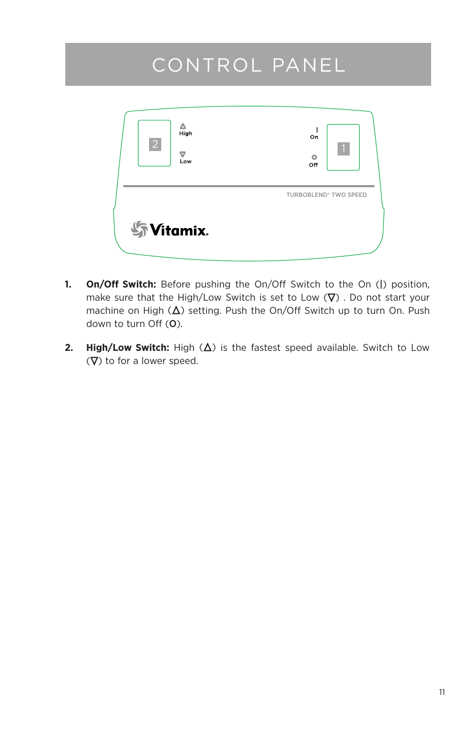## CONTROL PANEL

| Δ<br>High<br>$\overline{2}$<br>▽<br>Low | 1<br>On<br>$\blacksquare$<br>$\circ$<br>Off |
|-----------------------------------------|---------------------------------------------|
| <b>Syltamix.</b>                        | <b>TURBOBLEND® TWO SPEED</b>                |

- **1. On/Off Switch:** Before pushing the On/Off Switch to the On (|) position, make sure that the High/Low Switch is set to Low  $(\nabla)$ . Do not start your machine on High  $(\Delta)$  setting. Push the On/Off Switch up to turn On. Push down to turn Off (O).
- **2. High/Low Switch:** High  $(\Delta)$  is the fastest speed available. Switch to Low  $(\nabla)$  to for a lower speed.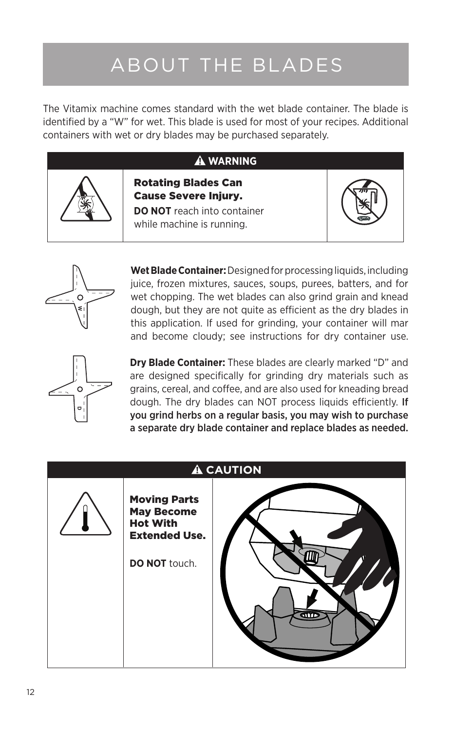# ABOUT THE BLADES

The Vitamix machine comes standard with the wet blade container. The blade is identified by a "W" for wet. This blade is used for most of your recipes. Additional containers with wet or dry blades may be purchased separately.

#### **WARNING**



Cause Severe Injury. **DO NOT** reach into container while machine is running.

Rotating Blades Can





**Wet Blade Container:** Designed for processing liquids, including juice, frozen mixtures, sauces, soups, purees, batters, and for wet chopping. The wet blades can also grind grain and knead dough, but they are not quite as efficient as the dry blades in this application. If used for grinding, your container will mar and become cloudy; see instructions for dry container use.



**Dry Blade Container:** These blades are clearly marked "D" and are designed specifically for grinding dry materials such as grains, cereal, and coffee, and are also used for kneading bread dough. The dry blades can NOT process liquids efficiently. If you grind herbs on a regular basis, you may wish to purchase a separate dry blade container and replace blades as needed.

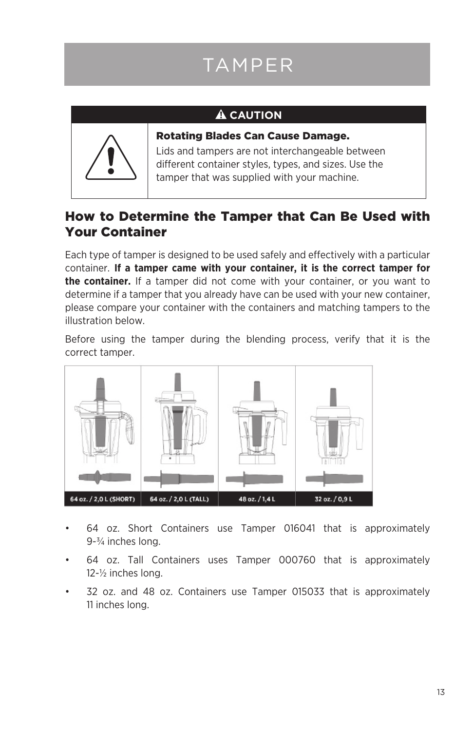# TAMPER

### **A** CAUTION



Rotating Blades Can Cause Damage.

Lids and tampers are not interchangeable between different container styles, types, and sizes. Use the tamper that was supplied with your machine.

### How to Determine the Tamper that Can Be Used with Your Container

Each type of tamper is designed to be used safely and effectively with a particular container. **If a tamper came with your container, it is the correct tamper for the container.** If a tamper did not come with your container, or you want to determine if a tamper that you already have can be used with your new container, please compare your container with the containers and matching tampers to the illustration below.

Before using the tamper during the blending process, verify that it is the correct tamper.



- 64 oz. Short Containers use Tamper 016041 that is approximately 9-¾ inches long.
- 64 oz. Tall Containers uses Tamper 000760 that is approximately 12-½ inches long.
- 32 oz. and 48 oz. Containers use Tamper 015033 that is approximately 11 inches long.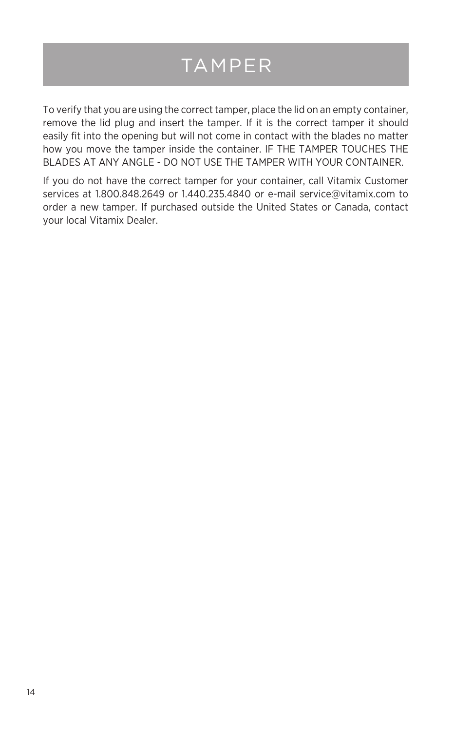## TAMPER

To verify that you are using the correct tamper, place the lid on an empty container, remove the lid plug and insert the tamper. If it is the correct tamper it should easily fit into the opening but will not come in contact with the blades no matter how you move the tamper inside the container. IF THE TAMPER TOUCHES THE BLADES AT ANY ANGLE - DO NOT USE THE TAMPER WITH YOUR CONTAINER.

If you do not have the correct tamper for your container, call Vitamix Customer services at 1.800.848.2649 or 1.440.235.4840 or e-mail service@vitamix.com to order a new tamper. If purchased outside the United States or Canada, contact your local Vitamix Dealer.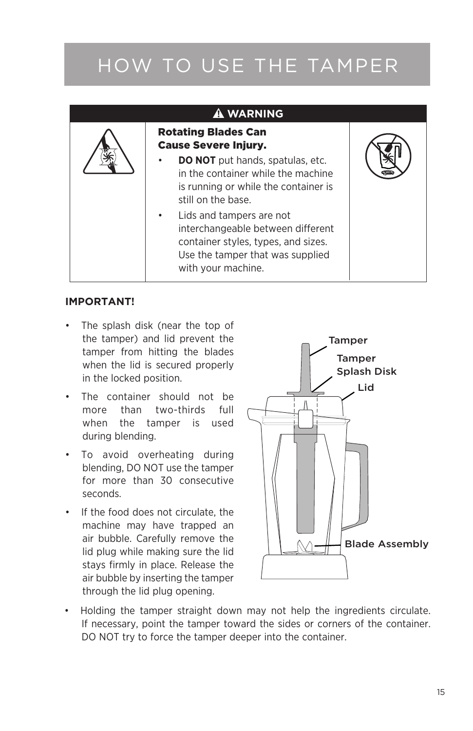# HOW TO USE THE TAMPER

### **WARNING**



#### **IMPORTANT!**

- The splash disk (near the top of the tamper) and lid prevent the tamper from hitting the blades when the lid is secured properly in the locked position.
- • The container should not be more than two-thirds full when the tamper is used during blending.
- • To avoid overheating during blending, DO NOT use the tamper for more than 30 consecutive seconds.
- • If the food does not circulate, the machine may have trapped an air bubble. Carefully remove the lid plug while making sure the lid stays firmly in place. Release the air bubble by inserting the tamper through the lid plug opening.



• Holding the tamper straight down may not help the ingredients circulate. If necessary, point the tamper toward the sides or corners of the container. DO NOT try to force the tamper deeper into the container.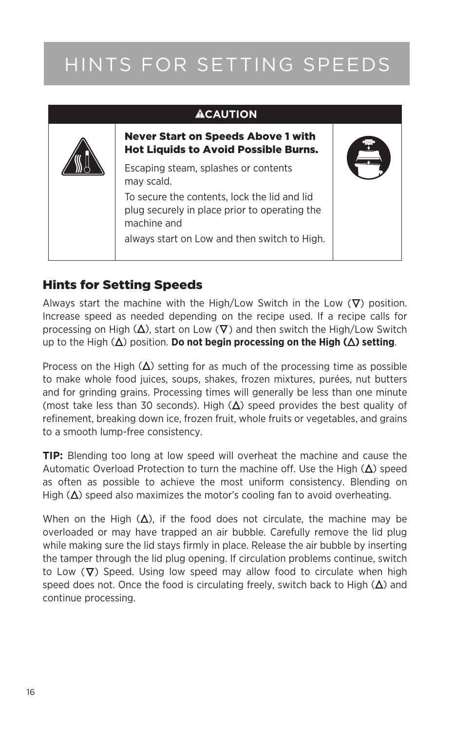# HINTS FOR SETTING SPEEDS

| <b>ACAUTION</b>                                                                                              |  |
|--------------------------------------------------------------------------------------------------------------|--|
| <b>Never Start on Speeds Above 1 with</b><br><b>Hot Liquids to Avoid Possible Burns.</b>                     |  |
| Escaping steam, splashes or contents<br>may scald.                                                           |  |
| To secure the contents. lock the lid and lid<br>plug securely in place prior to operating the<br>machine and |  |
| always start on Low and then switch to High.                                                                 |  |

### Hints for Setting Speeds

Always start the machine with the High/Low Switch in the Low  $(\nabla)$  position. Increase speed as needed depending on the recipe used. If a recipe calls for processing on High  $(\Delta)$ , start on Low  $(\nabla)$  and then switch the High/Low Switch up to the High  $(\Delta)$  position. **Do not begin processing on the High**  $(\Delta)$  **setting.** 

Process on the High  $(\Delta)$  setting for as much of the processing time as possible to make whole food juices, soups, shakes, frozen mixtures, purées, nut butters and for grinding grains. Processing times will generally be less than one minute (most take less than 30 seconds). High  $(\Delta)$  speed provides the best quality of refinement, breaking down ice, frozen fruit, whole fruits or vegetables, and grains to a smooth lump-free consistency.

**TIP:** Blending too long at low speed will overheat the machine and cause the Automatic Overload Protection to turn the machine off. Use the High  $(\Delta)$  speed as often as possible to achieve the most uniform consistency. Blending on High  $(\Delta)$  speed also maximizes the motor's cooling fan to avoid overheating.

When on the High  $(\Delta)$ , if the food does not circulate, the machine may be overloaded or may have trapped an air bubble. Carefully remove the lid plug while making sure the lid stays firmly in place. Release the air bubble by inserting the tamper through the lid plug opening. If circulation problems continue, switch to Low  $(\nabla)$  Speed. Using low speed may allow food to circulate when high speed does not. Once the food is circulating freely, switch back to High  $(\Delta)$  and continue processing.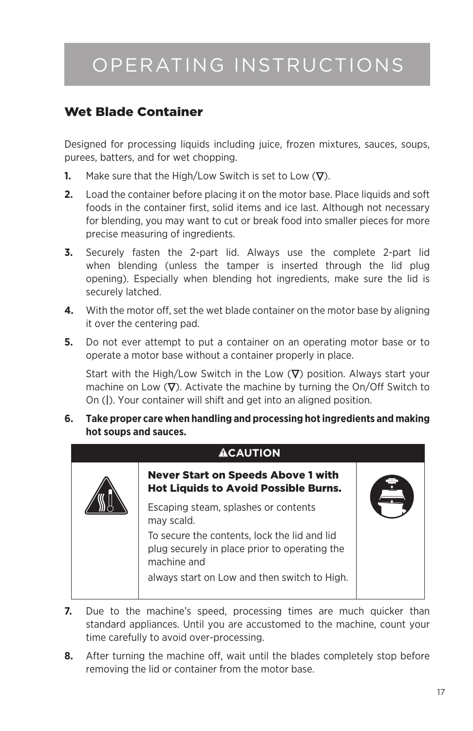## OPERATING INSTRUCTIONS

### Wet Blade Container

Designed for processing liquids including juice, frozen mixtures, sauces, soups, purees, batters, and for wet chopping.

- **1.** Make sure that the High/Low Switch is set to Low  $(\nabla)$ .
- **2.** Load the container before placing it on the motor base. Place liquids and soft foods in the container first, solid items and ice last. Although not necessary for blending, you may want to cut or break food into smaller pieces for more precise measuring of ingredients.
- **3.** Securely fasten the 2-part lid. Always use the complete 2-part lid when blending (unless the tamper is inserted through the lid plug opening). Especially when blending hot ingredients, make sure the lid is securely latched.
- **4.** With the motor off, set the wet blade container on the motor base by aligning it over the centering pad.
- **5.** Do not ever attempt to put a container on an operating motor base or to operate a motor base without a container properly in place.

Start with the High/Low Switch in the Low  $(\nabla)$  position. Always start your machine on Low  $(\nabla)$ . Activate the machine by turning the On/Off Switch to On (|). Your container will shift and get into an aligned position.

**6. Take proper care when handling and processing hot ingredients and making hot soups and sauces.**



- **7.** Due to the machine's speed, processing times are much quicker than standard appliances. Until you are accustomed to the machine, count your time carefully to avoid over-processing.
- **8.** After turning the machine off, wait until the blades completely stop before removing the lid or container from the motor base.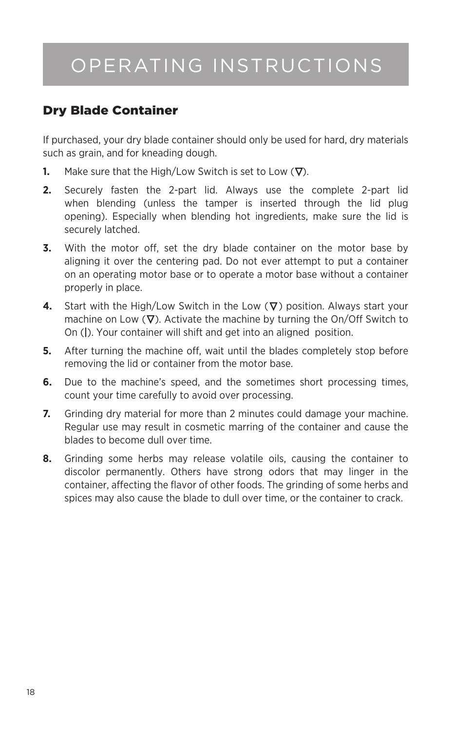## OPERATING INSTRUCTIONS

### Dry Blade Container

If purchased, your dry blade container should only be used for hard, dry materials such as grain, and for kneading dough.

- **1.** Make sure that the High/Low Switch is set to Low  $(\nabla)$ .
- **2.** Securely fasten the 2-part lid. Always use the complete 2-part lid when blending (unless the tamper is inserted through the lid plug opening). Especially when blending hot ingredients, make sure the lid is securely latched.
- **3.** With the motor off, set the dry blade container on the motor base by aligning it over the centering pad. Do not ever attempt to put a container on an operating motor base or to operate a motor base without a container properly in place.
- **4.** Start with the High/Low Switch in the Low  $(\nabla)$  position. Always start your machine on Low  $(\nabla)$ . Activate the machine by turning the On/Off Switch to On (|). Your container will shift and get into an aligned position.
- **5.** After turning the machine off, wait until the blades completely stop before removing the lid or container from the motor base.
- **6.** Due to the machine's speed, and the sometimes short processing times, count your time carefully to avoid over processing.
- **7.** Grinding dry material for more than 2 minutes could damage your machine. Regular use may result in cosmetic marring of the container and cause the blades to become dull over time.
- **8.** Grinding some herbs may release volatile oils, causing the container to discolor permanently. Others have strong odors that may linger in the container, affecting the flavor of other foods. The grinding of some herbs and spices may also cause the blade to dull over time, or the container to crack.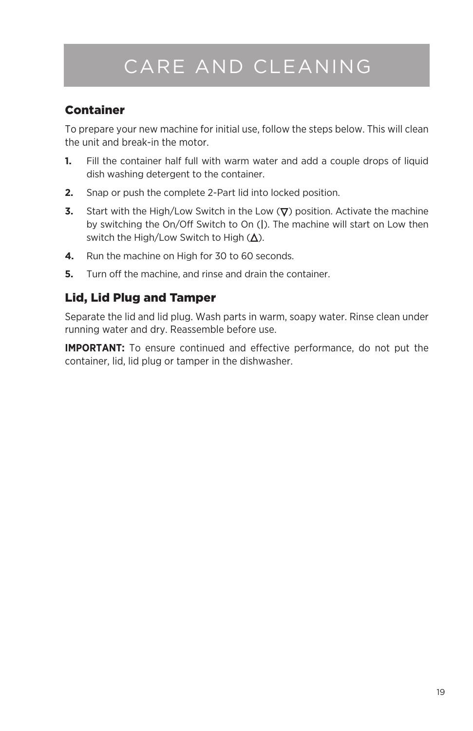# CARE AND CLEANING

### Container

To prepare your new machine for initial use, follow the steps below. This will clean the unit and break-in the motor.

- **1.** Fill the container half full with warm water and add a couple drops of liquid dish washing detergent to the container.
- **2.** Snap or push the complete 2-Part lid into locked position.
- **3.** Start with the High/Low Switch in the Low  $(\nabla)$  position. Activate the machine by switching the On/Off Switch to On (|). The machine will start on Low then switch the High/Low Switch to High  $($  $\Delta$ ).
- **4.** Run the machine on High for 30 to 60 seconds.
- **5.** Turn off the machine, and rinse and drain the container.

#### Lid, Lid Plug and Tamper

Separate the lid and lid plug. Wash parts in warm, soapy water. Rinse clean under running water and dry. Reassemble before use.

**IMPORTANT:** To ensure continued and effective performance, do not put the container, lid, lid plug or tamper in the dishwasher.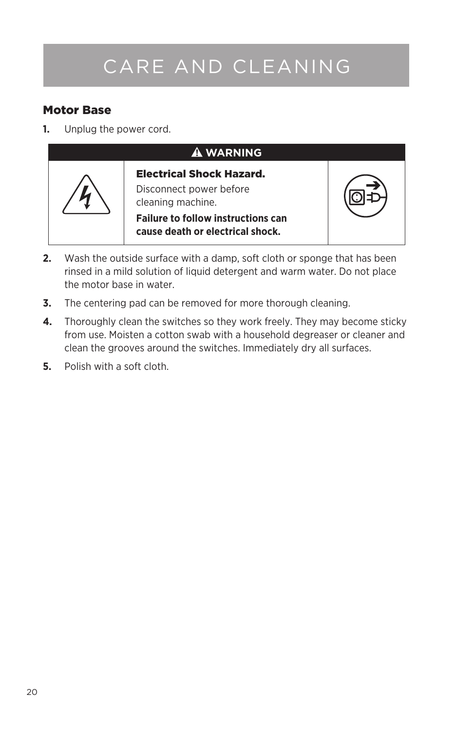# CARE AND CLEANING

#### Motor Base

**1.** Unplug the power cord.



- **2.** Wash the outside surface with a damp, soft cloth or sponge that has been rinsed in a mild solution of liquid detergent and warm water. Do not place the motor base in water.
- **3.** The centering pad can be removed for more thorough cleaning.
- **4.** Thoroughly clean the switches so they work freely. They may become sticky from use. Moisten a cotton swab with a household degreaser or cleaner and clean the grooves around the switches. Immediately dry all surfaces.
- **5.** Polish with a soft cloth.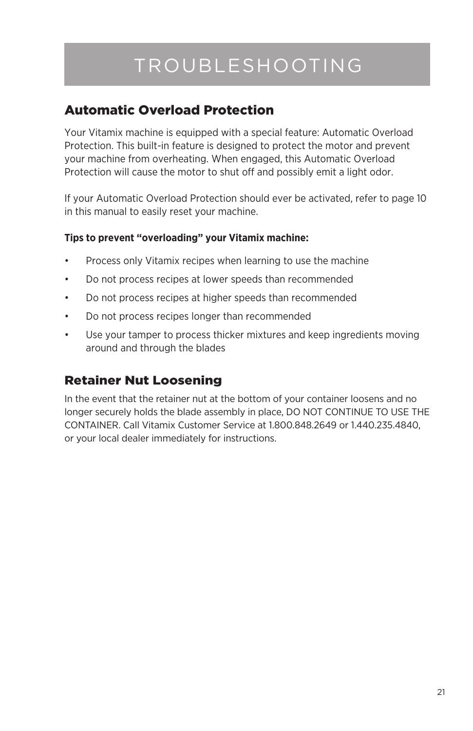# TROUBLESHOOTING

### Automatic Overload Protection

Your Vitamix machine is equipped with a special feature: Automatic Overload Protection. This built-in feature is designed to protect the motor and prevent your machine from overheating. When engaged, this Automatic Overload Protection will cause the motor to shut off and possibly emit a light odor.

If your Automatic Overload Protection should ever be activated, refer to page 10 in this manual to easily reset your machine.

#### **Tips to prevent "overloading" your Vitamix machine:**

- Process only Vitamix recipes when learning to use the machine
- • Do not process recipes at lower speeds than recommended
- • Do not process recipes at higher speeds than recommended
- • Do not process recipes longer than recommended
- • Use your tamper to process thicker mixtures and keep ingredients moving around and through the blades

### Retainer Nut Loosening

In the event that the retainer nut at the bottom of your container loosens and no longer securely holds the blade assembly in place, DO NOT CONTINUE TO USE THE CONTAINER. Call Vitamix Customer Service at 1.800.848.2649 or 1.440.235.4840, or your local dealer immediately for instructions.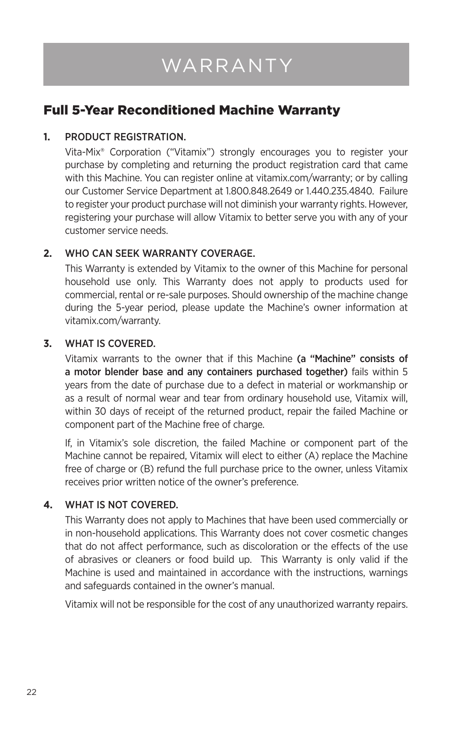# WARRANTY

## Full 5-Year Reconditioned Machine Warranty

#### **1.** PRODUCT REGISTRATION.

Vita-Mix® Corporation ("Vitamix") strongly encourages you to register your purchase by completing and returning the product registration card that came with this Machine. You can register online at vitamix.com/warranty; or by calling our Customer Service Department at 1.800.848.2649 or 1.440.235.4840. Failure to register your product purchase will not diminish your warranty rights. However, registering your purchase will allow Vitamix to better serve you with any of your customer service needs.

#### **2.** WHO CAN SEEK WARRANTY COVERAGE.

This Warranty is extended by Vitamix to the owner of this Machine for personal household use only. This Warranty does not apply to products used for commercial, rental or re-sale purposes. Should ownership of the machine change during the 5-year period, please update the Machine's owner information at vitamix.com/warranty.

#### **3.** WHAT IS COVERED.

Vitamix warrants to the owner that if this Machine (a "Machine" consists of a motor blender base and any containers purchased together) fails within 5 years from the date of purchase due to a defect in material or workmanship or as a result of normal wear and tear from ordinary household use, Vitamix will, within 30 days of receipt of the returned product, repair the failed Machine or component part of the Machine free of charge.

If, in Vitamix's sole discretion, the failed Machine or component part of the Machine cannot be repaired, Vitamix will elect to either (A) replace the Machine free of charge or (B) refund the full purchase price to the owner, unless Vitamix receives prior written notice of the owner's preference.

#### **4.** WHAT IS NOT COVERED.

This Warranty does not apply to Machines that have been used commercially or in non-household applications. This Warranty does not cover cosmetic changes that do not affect performance, such as discoloration or the effects of the use of abrasives or cleaners or food build up. This Warranty is only valid if the Machine is used and maintained in accordance with the instructions, warnings and safeguards contained in the owner's manual.

Vitamix will not be responsible for the cost of any unauthorized warranty repairs.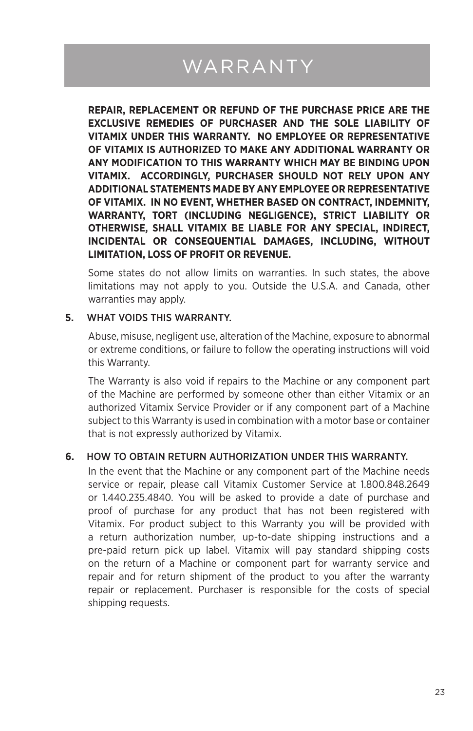# WARRANTY

**REPAIR, REPLACEMENT OR REFUND OF THE PURCHASE PRICE ARE THE EXCLUSIVE REMEDIES OF PURCHASER AND THE SOLE LIABILITY OF VITAMIX UNDER THIS WARRANTY. NO EMPLOYEE OR REPRESENTATIVE OF VITAMIX IS AUTHORIZED TO MAKE ANY ADDITIONAL WARRANTY OR ANY MODIFICATION TO THIS WARRANTY WHICH MAY BE BINDING UPON VITAMIX. ACCORDINGLY, PURCHASER SHOULD NOT RELY UPON ANY ADDITIONAL STATEMENTS MADE BY ANY EMPLOYEE OR REPRESENTATIVE OF VITAMIX. IN NO EVENT, WHETHER BASED ON CONTRACT, INDEMNITY, WARRANTY, TORT (INCLUDING NEGLIGENCE), STRICT LIABILITY OR OTHERWISE, SHALL VITAMIX BE LIABLE FOR ANY SPECIAL, INDIRECT, INCIDENTAL OR CONSEQUENTIAL DAMAGES, INCLUDING, WITHOUT LIMITATION, LOSS OF PROFIT OR REVENUE.** 

Some states do not allow limits on warranties. In such states, the above limitations may not apply to you. Outside the U.S.A. and Canada, other warranties may apply.

#### **5.** WHAT VOIDS THIS WARRANTY.

Abuse, misuse, negligent use, alteration of the Machine, exposure to abnormal or extreme conditions, or failure to follow the operating instructions will void this Warranty.

The Warranty is also void if repairs to the Machine or any component part of the Machine are performed by someone other than either Vitamix or an authorized Vitamix Service Provider or if any component part of a Machine subject to this Warranty is used in combination with a motor base or container that is not expressly authorized by Vitamix.

#### **6.** HOW TO OBTAIN RETURN AUTHORIZATION UNDER THIS WARRANTY.

In the event that the Machine or any component part of the Machine needs service or repair, please call Vitamix Customer Service at 1.800.848.2649 or 1.440.235.4840. You will be asked to provide a date of purchase and proof of purchase for any product that has not been registered with Vitamix. For product subject to this Warranty you will be provided with a return authorization number, up-to-date shipping instructions and a pre-paid return pick up label. Vitamix will pay standard shipping costs on the return of a Machine or component part for warranty service and repair and for return shipment of the product to you after the warranty repair or replacement. Purchaser is responsible for the costs of special shipping requests.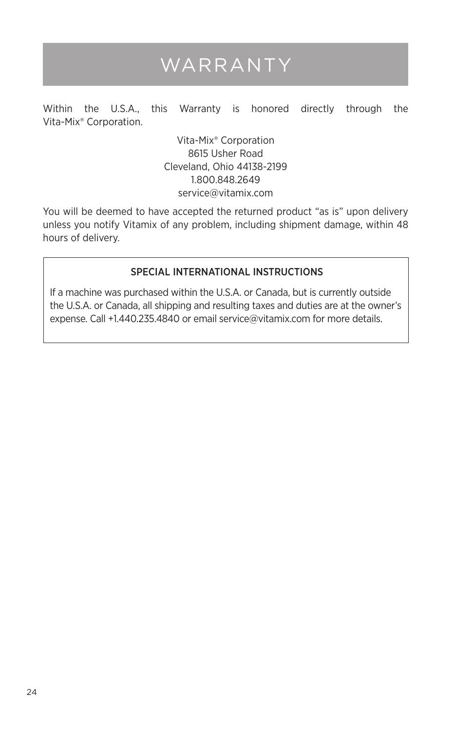## WARRANTY

Within the U.S.A., this Warranty is honored directly through the Vita-Mix® Corporation.

> Vita-Mix® Corporation 8615 Usher Road Cleveland, Ohio 44138-2199 1.800.848.2649 service@vitamix.com

You will be deemed to have accepted the returned product "as is" upon delivery unless you notify Vitamix of any problem, including shipment damage, within 48 hours of delivery.

#### SPECIAL INTERNATIONAL INSTRUCTIONS

If a machine was purchased within the U.S.A. or Canada, but is currently outside the U.S.A. or Canada, all shipping and resulting taxes and duties are at the owner's expense. Call +1.440.235.4840 or email service@vitamix.com for more details.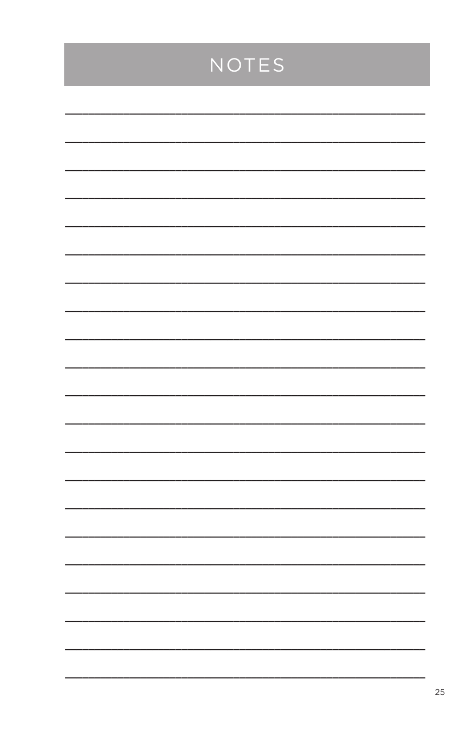## NOTES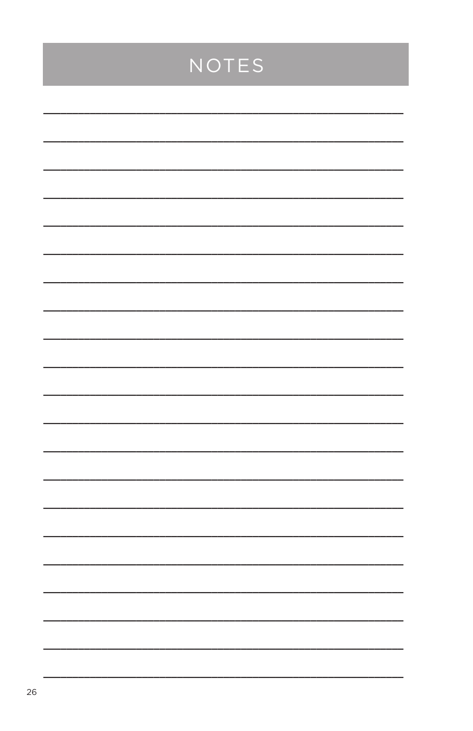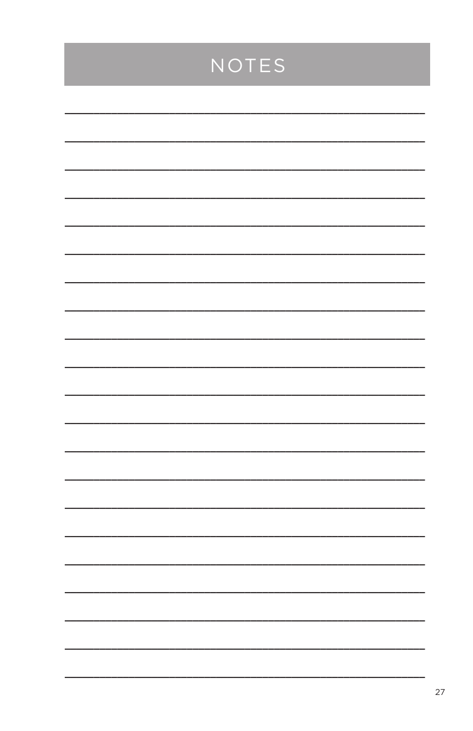## NOTES